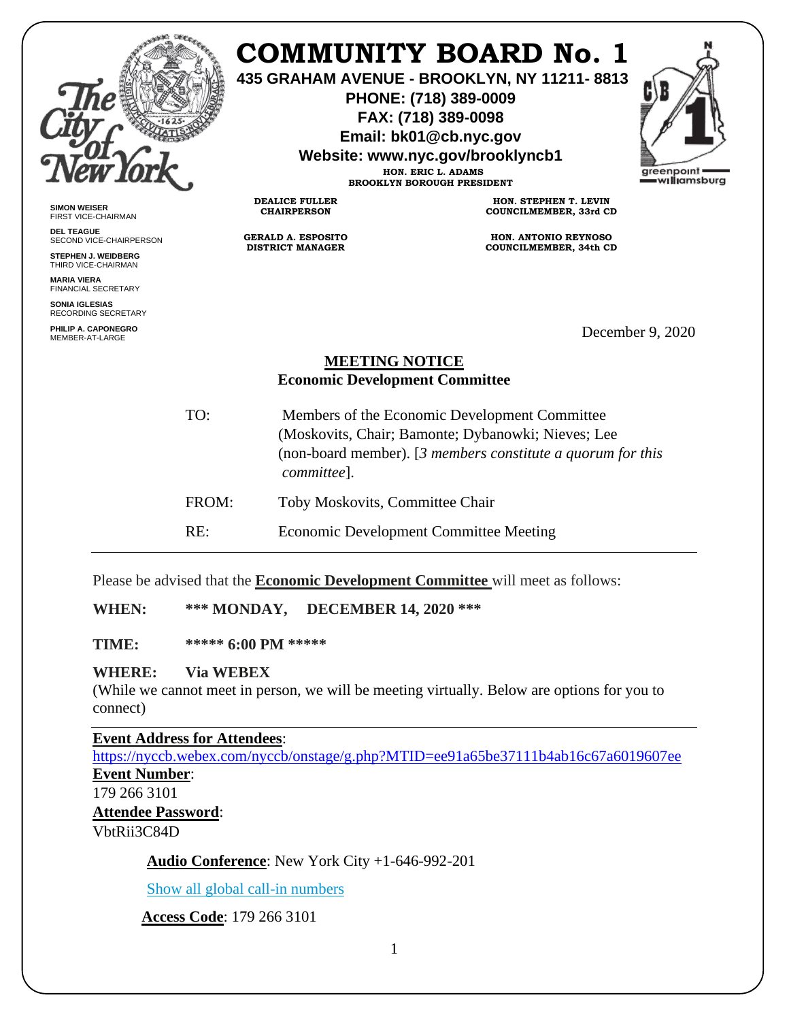|                                                                                                                        |                                             | <b>COMMUNITY BOARD No. 1</b><br>435 GRAHAM AVENUE - BROOKLYN, NY 11211-8813<br>PHONE: (718) 389-0009<br>FAX: (718) 389-0098<br>Email: bk01@cb.nyc.gov<br>Website: www.nyc.gov/brooklyncb1<br>HON. ERIC L. ADAMS<br><b>BROOKLYN BOROUGH PRESIDENT</b> | areenpoint<br>=w <b>ıllı</b> amsburg |
|------------------------------------------------------------------------------------------------------------------------|---------------------------------------------|------------------------------------------------------------------------------------------------------------------------------------------------------------------------------------------------------------------------------------------------------|--------------------------------------|
| <b>SIMON WEISER</b><br><b>FIRST VICE-CHAIRMAN</b>                                                                      | <b>DEALICE FULLER</b><br><b>CHAIRPERSON</b> | HON. STEPHEN T. LEVIN<br>COUNCILMEMBER, 33rd CD                                                                                                                                                                                                      |                                      |
| <b>DEL TEAGUE</b><br>SECOND VICE-CHAIRPERSON                                                                           | <b>GERALD A. ESPOSITO</b>                   | <b>HON. ANTONIO REYNOSO</b>                                                                                                                                                                                                                          |                                      |
| <b>STEPHEN J. WEIDBERG</b><br>THIRD VICE-CHAIRMAN                                                                      | <b>DISTRICT MANAGER</b>                     | <b>COUNCILMEMBER, 34th CD</b>                                                                                                                                                                                                                        |                                      |
| <b>MARIA VIERA</b><br><b>FINANCIAL SECRETARY</b>                                                                       |                                             |                                                                                                                                                                                                                                                      |                                      |
| SONIA IGLESIAS<br><b>RECORDING SECRETARY</b>                                                                           |                                             |                                                                                                                                                                                                                                                      |                                      |
| PHILIP A. CAPONEGRO<br>MEMBER-AT-LARGE                                                                                 |                                             |                                                                                                                                                                                                                                                      | December 9, 2020                     |
| <b>MEETING NOTICE</b><br><b>Economic Development Committee</b><br>TO:<br>Members of the Economic Development Committee |                                             |                                                                                                                                                                                                                                                      |                                      |
|                                                                                                                        | committee].                                 | (Moskovits, Chair; Bamonte; Dybanowki; Nieves; Lee<br>(non-board member). $[3$ members constitute a quorum for this                                                                                                                                  |                                      |
| FROM:                                                                                                                  | Toby Moskovits, Committee Chair             |                                                                                                                                                                                                                                                      |                                      |

RE: Economic Development Committee Meeting

Please be advised that the **Economic Development Committee** will meet as follows:

**WHEN: \*\*\* MONDAY, DECEMBER 14, 2020 \*\*\***

**TIME: \*\*\*\*\* 6:00 PM \*\*\*\*\***

## **WHERE: Via WEBEX**

(While we cannot meet in person, we will be meeting virtually. Below are options for you to connect)

**Event Address for Attendees**:

<https://nyccb.webex.com/nyccb/onstage/g.php?MTID=ee91a65be37111b4ab16c67a6019607ee> **Event Number**: 179 266 3101

**Attendee Password**:

VbtRii3C84D

**Audio Conference**: New York City +1-646-992-201

[Show all global call-in numbers](https://nyccb.webex.com/cmp3300/webcomponents/widget/globalcallin/globalcallin.do?siteurl=nyccb&serviceType=EC&eventID=1101180212&tollFree=0)

**Access Code**: 179 266 3101